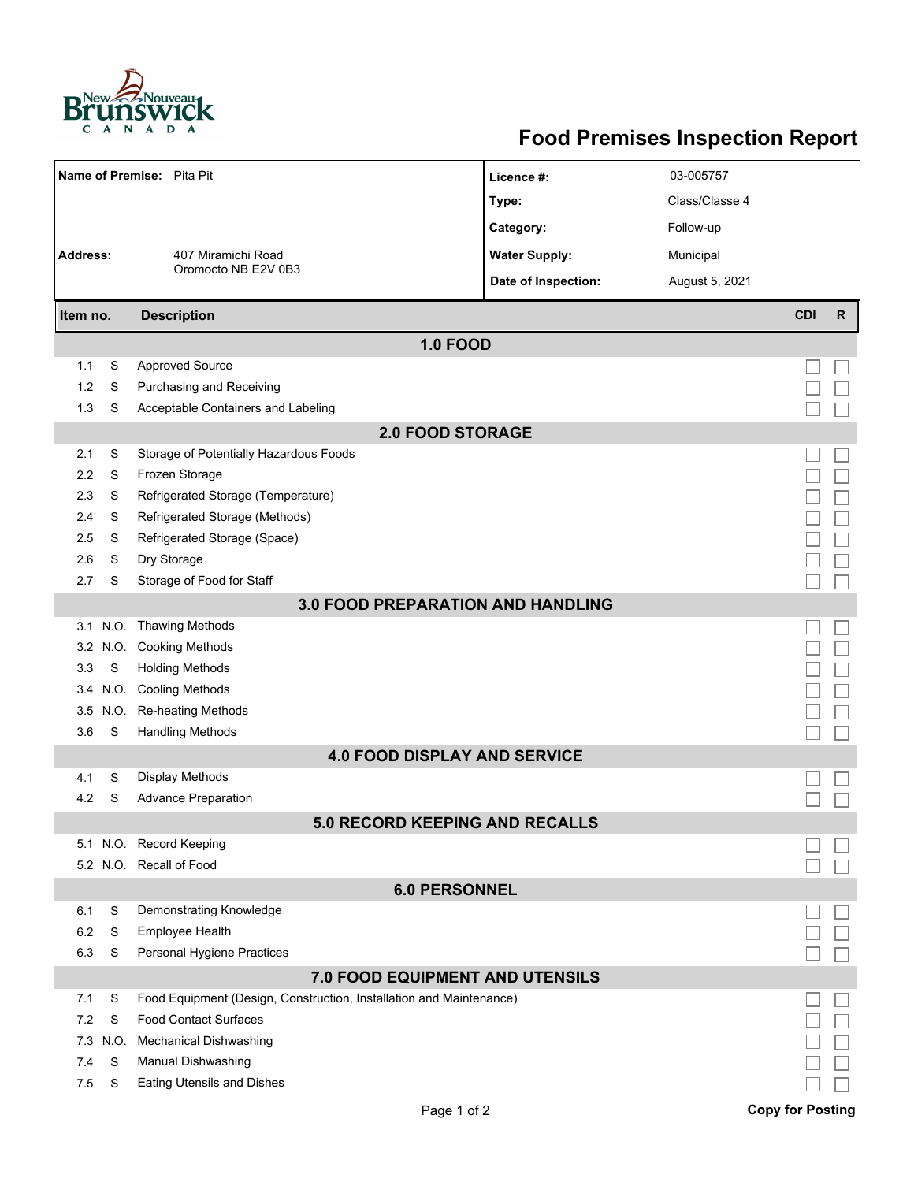

## **Food Premises Inspection Report**

| Name of Premise: Pita Pit                |           |                                                                     | Licence #:           | 03-005757      |                         |   |  |  |  |  |
|------------------------------------------|-----------|---------------------------------------------------------------------|----------------------|----------------|-------------------------|---|--|--|--|--|
|                                          |           |                                                                     | Type:                | Class/Classe 4 |                         |   |  |  |  |  |
|                                          |           |                                                                     | Category:            | Follow-up      |                         |   |  |  |  |  |
| <b>Address:</b>                          |           | 407 Miramichi Road<br>Oromocto NB E2V 0B3                           | <b>Water Supply:</b> | Municipal      |                         |   |  |  |  |  |
|                                          |           |                                                                     |                      |                |                         |   |  |  |  |  |
|                                          |           |                                                                     | Date of Inspection:  | August 5, 2021 |                         |   |  |  |  |  |
| Item no.                                 |           | <b>Description</b>                                                  |                      |                | <b>CDI</b>              | R |  |  |  |  |
| <b>1.0 FOOD</b>                          |           |                                                                     |                      |                |                         |   |  |  |  |  |
| 1.1                                      | S         | <b>Approved Source</b>                                              |                      |                |                         |   |  |  |  |  |
| 1.2                                      | S         | Purchasing and Receiving                                            |                      |                |                         |   |  |  |  |  |
| 1.3                                      | S         | Acceptable Containers and Labeling                                  |                      |                |                         |   |  |  |  |  |
| <b>2.0 FOOD STORAGE</b>                  |           |                                                                     |                      |                |                         |   |  |  |  |  |
| 2.1                                      | S         | Storage of Potentially Hazardous Foods                              |                      |                |                         |   |  |  |  |  |
| 2.2                                      | S         | Frozen Storage                                                      |                      |                |                         |   |  |  |  |  |
| 2.3                                      | S         | Refrigerated Storage (Temperature)                                  |                      |                |                         |   |  |  |  |  |
| 2.4                                      | S         | Refrigerated Storage (Methods)                                      |                      |                |                         |   |  |  |  |  |
| 2.5                                      | S         | Refrigerated Storage (Space)                                        |                      |                |                         |   |  |  |  |  |
| 2.6                                      | S         | Dry Storage                                                         |                      |                |                         |   |  |  |  |  |
| 2.7                                      | S         | Storage of Food for Staff                                           |                      |                |                         |   |  |  |  |  |
| <b>3.0 FOOD PREPARATION AND HANDLING</b> |           |                                                                     |                      |                |                         |   |  |  |  |  |
|                                          | 3.1 N.O.  | <b>Thawing Methods</b>                                              |                      |                |                         |   |  |  |  |  |
| 3.2                                      | N.O.      | <b>Cooking Methods</b>                                              |                      |                |                         |   |  |  |  |  |
| 3.3                                      | S         | <b>Holding Methods</b>                                              |                      |                |                         |   |  |  |  |  |
|                                          | 3.4 N.O.  | <b>Cooling Methods</b>                                              |                      |                |                         |   |  |  |  |  |
| 3.5<br>3.6                               | N.O.<br>S | Re-heating Methods<br><b>Handling Methods</b>                       |                      |                |                         |   |  |  |  |  |
|                                          |           | <b>4.0 FOOD DISPLAY AND SERVICE</b>                                 |                      |                |                         |   |  |  |  |  |
| 4.1                                      | S         | <b>Display Methods</b>                                              |                      |                |                         |   |  |  |  |  |
| 4.2                                      | S         | <b>Advance Preparation</b>                                          |                      |                |                         |   |  |  |  |  |
|                                          |           | <b>5.0 RECORD KEEPING AND RECALLS</b>                               |                      |                |                         |   |  |  |  |  |
|                                          |           | 5.1 N.O. Record Keeping                                             |                      |                |                         |   |  |  |  |  |
|                                          |           | 5.2 N.O. Recall of Food                                             |                      |                |                         |   |  |  |  |  |
| <b>6.0 PERSONNEL</b>                     |           |                                                                     |                      |                |                         |   |  |  |  |  |
| 6.1                                      | S         | Demonstrating Knowledge                                             |                      |                |                         |   |  |  |  |  |
| 6.2                                      | S         | Employee Health                                                     |                      |                |                         |   |  |  |  |  |
| 6.3                                      | S         | Personal Hygiene Practices                                          |                      |                |                         |   |  |  |  |  |
|                                          |           | 7.0 FOOD EQUIPMENT AND UTENSILS                                     |                      |                |                         |   |  |  |  |  |
| 7.1                                      | S         | Food Equipment (Design, Construction, Installation and Maintenance) |                      |                |                         |   |  |  |  |  |
| 7.2                                      | S         | <b>Food Contact Surfaces</b>                                        |                      |                |                         |   |  |  |  |  |
| 7.3                                      | N.O.      | <b>Mechanical Dishwashing</b>                                       |                      |                |                         |   |  |  |  |  |
| 7.4                                      | S         | Manual Dishwashing                                                  |                      |                |                         |   |  |  |  |  |
| 7.5                                      | S         | Eating Utensils and Dishes                                          |                      |                |                         |   |  |  |  |  |
|                                          |           | Page 1 of 2                                                         |                      |                | <b>Copy for Posting</b> |   |  |  |  |  |